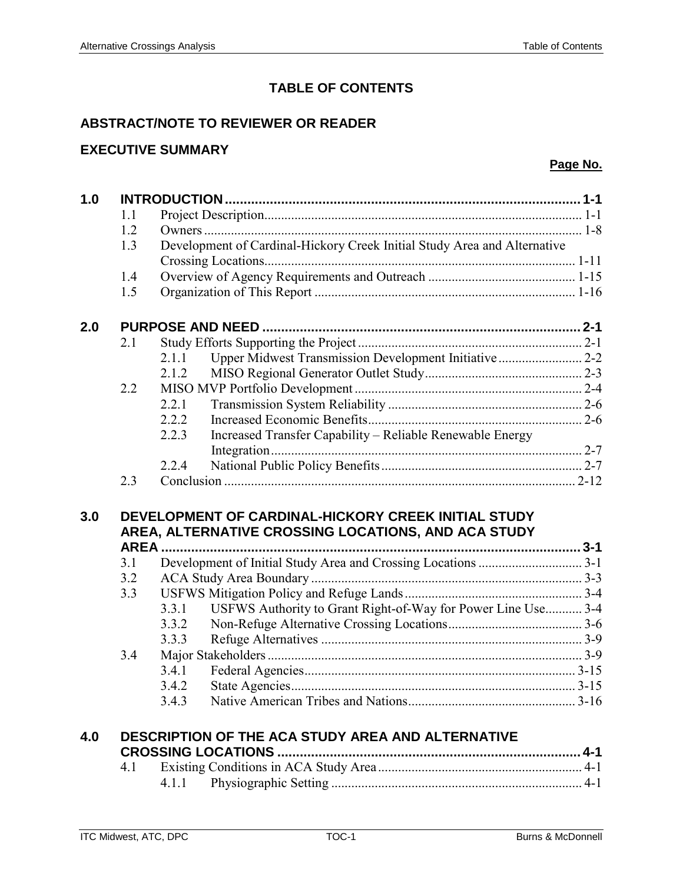# **TABLE OF CONTENTS**

### **ABSTRACT/NOTE TO REVIEWER OR READER**

## **EXECUTIVE SUMMARY**

### **Page No.**

| 1.0 |     |                                                                                                            |  |  |  |  |
|-----|-----|------------------------------------------------------------------------------------------------------------|--|--|--|--|
|     | 1.1 |                                                                                                            |  |  |  |  |
|     | 1.2 |                                                                                                            |  |  |  |  |
|     | 1.3 | Development of Cardinal-Hickory Creek Initial Study Area and Alternative                                   |  |  |  |  |
|     |     |                                                                                                            |  |  |  |  |
|     | 1.4 |                                                                                                            |  |  |  |  |
|     | 1.5 |                                                                                                            |  |  |  |  |
| 2.0 |     |                                                                                                            |  |  |  |  |
|     | 2.1 |                                                                                                            |  |  |  |  |
|     |     | 2.1.1                                                                                                      |  |  |  |  |
|     |     | 2.1.2                                                                                                      |  |  |  |  |
|     | 2.2 |                                                                                                            |  |  |  |  |
|     |     | 2.2.1                                                                                                      |  |  |  |  |
|     |     | 2.2.2                                                                                                      |  |  |  |  |
|     |     | 2.2.3<br>Increased Transfer Capability - Reliable Renewable Energy                                         |  |  |  |  |
|     |     |                                                                                                            |  |  |  |  |
|     |     | 2.2.4                                                                                                      |  |  |  |  |
|     | 2.3 |                                                                                                            |  |  |  |  |
| 3.0 |     | DEVELOPMENT OF CARDINAL-HICKORY CREEK INITIAL STUDY<br>AREA, ALTERNATIVE CROSSING LOCATIONS, AND ACA STUDY |  |  |  |  |
|     | 3.1 |                                                                                                            |  |  |  |  |
|     | 3.2 |                                                                                                            |  |  |  |  |
|     | 3.3 |                                                                                                            |  |  |  |  |
|     |     | USFWS Authority to Grant Right-of-Way for Power Line Use 3-4<br>3.3.1                                      |  |  |  |  |
|     |     | 3.3.2                                                                                                      |  |  |  |  |
|     |     | 3.3.3                                                                                                      |  |  |  |  |
|     | 3.4 |                                                                                                            |  |  |  |  |
|     |     | 3.4.1                                                                                                      |  |  |  |  |
|     |     | 3.4.2                                                                                                      |  |  |  |  |
|     |     | 3.4.3                                                                                                      |  |  |  |  |
|     |     |                                                                                                            |  |  |  |  |
| 4.0 |     | <b>DESCRIPTION OF THE ACA STUDY AREA AND ALTERNATIVE</b>                                                   |  |  |  |  |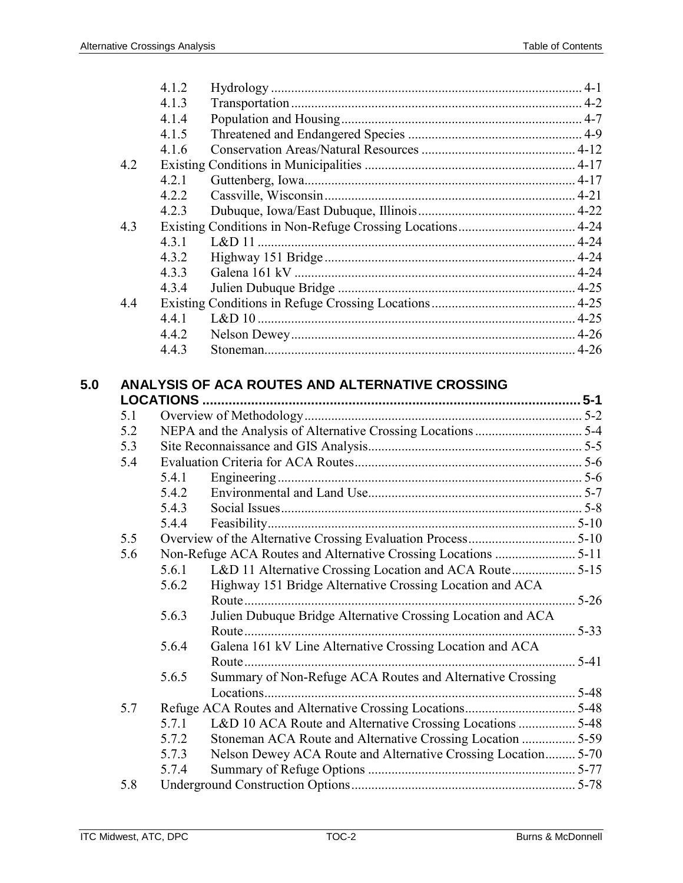|     |     | 4.1.2 |                                                                |          |
|-----|-----|-------|----------------------------------------------------------------|----------|
|     |     | 4.1.3 |                                                                |          |
|     |     | 4.1.4 |                                                                |          |
|     |     | 4.1.5 |                                                                |          |
|     |     | 4.1.6 |                                                                |          |
|     | 4.2 |       |                                                                |          |
|     |     | 4.2.1 |                                                                |          |
|     |     | 4.2.2 |                                                                |          |
|     |     | 4.2.3 |                                                                |          |
|     | 4.3 |       |                                                                |          |
|     |     | 4.3.1 |                                                                |          |
|     |     | 4.3.2 |                                                                |          |
|     |     | 4.3.3 |                                                                |          |
|     |     | 4.3.4 |                                                                |          |
|     | 4.4 |       |                                                                |          |
|     |     | 4.4.1 |                                                                |          |
|     |     | 4.4.2 |                                                                |          |
|     |     | 4.4.3 |                                                                |          |
|     |     |       |                                                                |          |
| 5.0 |     |       | ANALYSIS OF ACA ROUTES AND ALTERNATIVE CROSSING                |          |
|     |     |       |                                                                |          |
|     | 5.1 |       |                                                                |          |
|     | 5.2 |       |                                                                |          |
|     | 5.3 |       |                                                                |          |
|     | 5.4 |       |                                                                |          |
|     |     | 5.4.1 |                                                                |          |
|     |     | 5.4.2 |                                                                |          |
|     |     | 5.4.3 |                                                                |          |
|     |     | 5.4.4 |                                                                |          |
|     | 5.5 |       |                                                                |          |
|     | 5.6 |       |                                                                |          |
|     |     |       | 5.6.1 L&D 11 Alternative Crossing Location and ACA Route 5-15  |          |
|     |     |       | 5.6.2 Highway 151 Bridge Alternative Crossing Location and ACA |          |
|     |     |       |                                                                |          |
|     |     | 5.6.3 | Julien Dubuque Bridge Alternative Crossing Location and ACA    |          |
|     |     |       |                                                                | $5 - 33$ |
|     |     | 5.6.4 | Galena 161 kV Line Alternative Crossing Location and ACA       |          |
|     |     |       |                                                                |          |
|     |     | 5.6.5 | Summary of Non-Refuge ACA Routes and Alternative Crossing      |          |
|     |     |       |                                                                |          |
|     | 5.7 |       |                                                                |          |
|     |     | 5.7.1 | L&D 10 ACA Route and Alternative Crossing Locations  5-48      |          |
|     |     | 5.7.2 | Stoneman ACA Route and Alternative Crossing Location  5-59     |          |
|     |     | 5.7.3 | Nelson Dewey ACA Route and Alternative Crossing Location 5-70  |          |
|     |     | 5.7.4 |                                                                |          |
|     | 5.8 |       |                                                                |          |
|     |     |       |                                                                |          |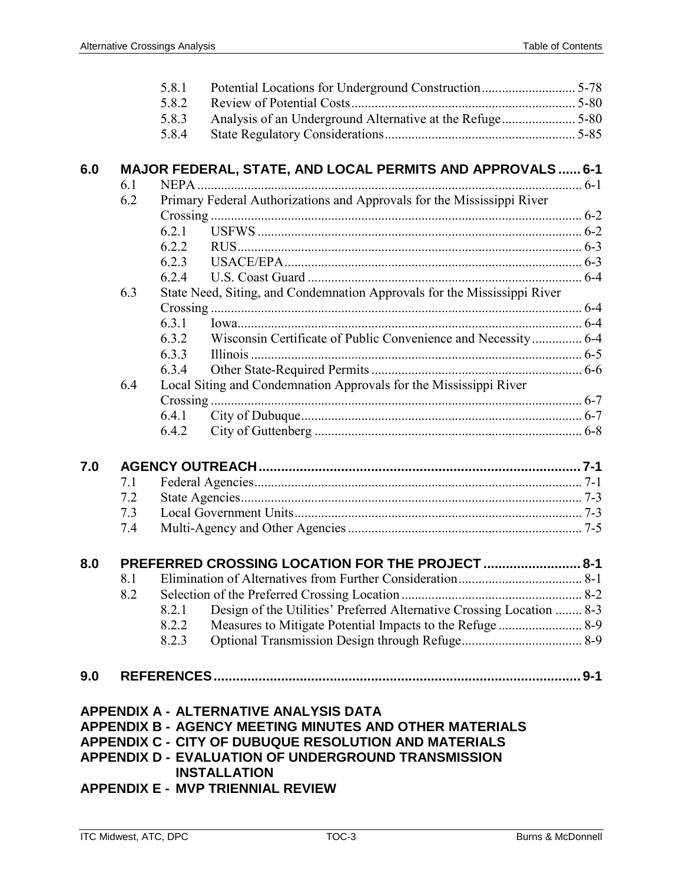|     |                                                  | 5.8.1                                                                    |                                                                        |  |  |  |
|-----|--------------------------------------------------|--------------------------------------------------------------------------|------------------------------------------------------------------------|--|--|--|
|     |                                                  | 5.8.2                                                                    |                                                                        |  |  |  |
|     |                                                  | 5.8.3                                                                    |                                                                        |  |  |  |
|     |                                                  | 5.8.4                                                                    |                                                                        |  |  |  |
|     |                                                  |                                                                          |                                                                        |  |  |  |
| 6.0 |                                                  |                                                                          | <b>MAJOR FEDERAL, STATE, AND LOCAL PERMITS AND APPROVALS 6-1</b>       |  |  |  |
|     | 6.1                                              |                                                                          |                                                                        |  |  |  |
|     | 6.2                                              |                                                                          | Primary Federal Authorizations and Approvals for the Mississippi River |  |  |  |
|     |                                                  |                                                                          |                                                                        |  |  |  |
|     |                                                  | 6.2.1                                                                    |                                                                        |  |  |  |
|     |                                                  | 6.2.2                                                                    |                                                                        |  |  |  |
|     |                                                  | 6.2.3                                                                    |                                                                        |  |  |  |
|     |                                                  | 6.2.4                                                                    |                                                                        |  |  |  |
|     | 6.3                                              | State Need, Siting, and Condemnation Approvals for the Mississippi River |                                                                        |  |  |  |
|     |                                                  |                                                                          |                                                                        |  |  |  |
|     |                                                  | 6.3.1                                                                    |                                                                        |  |  |  |
|     |                                                  | 6.3.2                                                                    | Wisconsin Certificate of Public Convenience and Necessity 6-4          |  |  |  |
|     |                                                  | 6.3.3                                                                    |                                                                        |  |  |  |
|     |                                                  | 6.3.4                                                                    |                                                                        |  |  |  |
|     | 6.4                                              |                                                                          | Local Siting and Condemnation Approvals for the Mississippi River      |  |  |  |
|     |                                                  |                                                                          |                                                                        |  |  |  |
|     |                                                  | 6.4.1                                                                    |                                                                        |  |  |  |
|     |                                                  | 6.4.2                                                                    |                                                                        |  |  |  |
|     |                                                  |                                                                          |                                                                        |  |  |  |
| 7.0 |                                                  |                                                                          |                                                                        |  |  |  |
|     | 7.1                                              |                                                                          |                                                                        |  |  |  |
|     | 7.2                                              |                                                                          |                                                                        |  |  |  |
|     | 7.3                                              |                                                                          |                                                                        |  |  |  |
|     | 7.4                                              |                                                                          |                                                                        |  |  |  |
|     |                                                  |                                                                          |                                                                        |  |  |  |
| 8.0 | PREFERRED CROSSING LOCATION FOR THE PROJECT  8-1 |                                                                          |                                                                        |  |  |  |
|     | 8.1                                              |                                                                          |                                                                        |  |  |  |
|     | 8.2                                              |                                                                          |                                                                        |  |  |  |
|     |                                                  | 8.2.1                                                                    | Design of the Utilities' Preferred Alternative Crossing Location  8-3  |  |  |  |
|     |                                                  | 8.2.2                                                                    | Measures to Mitigate Potential Impacts to the Refuge  8-9              |  |  |  |
|     |                                                  | 8.2.3                                                                    |                                                                        |  |  |  |
|     |                                                  |                                                                          |                                                                        |  |  |  |
| 9.0 |                                                  |                                                                          |                                                                        |  |  |  |
|     |                                                  |                                                                          |                                                                        |  |  |  |
|     |                                                  |                                                                          | APPENDIX A - ALTERNATIVE ANALYSIS DATA                                 |  |  |  |
|     |                                                  |                                                                          | <b>APPENDIX B - AGENCY MEETING MINUTES AND OTHER MATERIALS</b>         |  |  |  |
|     |                                                  |                                                                          | APPENDIX C - CITY OF DUBUQUE RESOLUTION AND MATERIALS                  |  |  |  |
|     |                                                  |                                                                          | <b>APPENDIX D - EVALUATION OF UNDERGROUND TRANSMISSION</b>             |  |  |  |
|     |                                                  |                                                                          | <b>INSTALLATION</b>                                                    |  |  |  |
|     |                                                  |                                                                          | <b>APPENDIX E - MVP TRIENNIAL REVIEW</b>                               |  |  |  |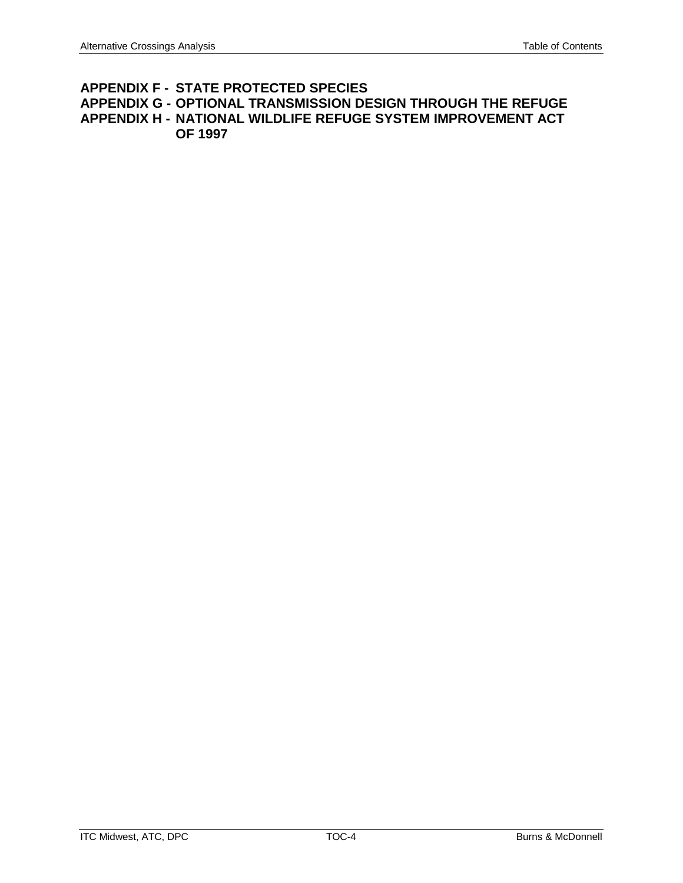### **APPENDIX F - STATE PROTECTED SPECIES APPENDIX G - OPTIONAL TRANSMISSION DESIGN THROUGH THE REFUGE APPENDIX H - NATIONAL WILDLIFE REFUGE SYSTEM IMPROVEMENT ACT OF 1997**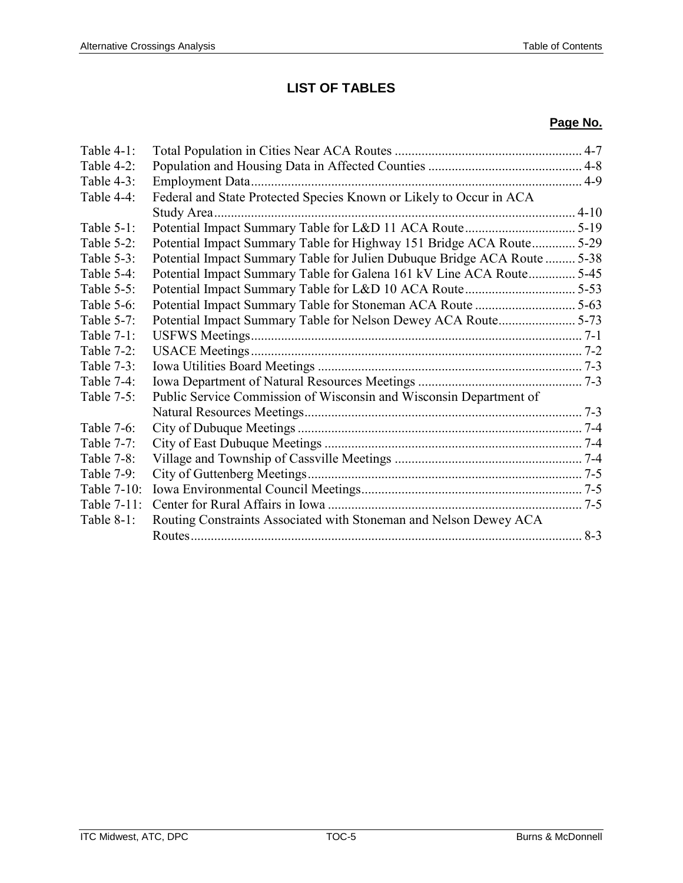## **LIST OF TABLES**

#### **Page No.**

| Table $4-1$ : |                                                                          | $4 - 7$ |
|---------------|--------------------------------------------------------------------------|---------|
| Table 4-2:    |                                                                          |         |
| Table $4-3$ : |                                                                          |         |
| Table 4-4:    | Federal and State Protected Species Known or Likely to Occur in ACA      |         |
|               |                                                                          |         |
| Table $5-1$ : |                                                                          |         |
| Table $5-2$ : | Potential Impact Summary Table for Highway 151 Bridge ACA Route 5-29     |         |
| Table 5-3:    | Potential Impact Summary Table for Julien Dubuque Bridge ACA Route  5-38 |         |
| Table $5-4$ : | Potential Impact Summary Table for Galena 161 kV Line ACA Route 5-45     |         |
| Table $5-5$ : |                                                                          |         |
| Table $5-6$ : |                                                                          |         |
| Table 5-7:    |                                                                          |         |
| Table 7-1:    |                                                                          |         |
| Table 7-2:    |                                                                          |         |
| Table $7-3$ : |                                                                          |         |
| Table 7-4:    |                                                                          |         |
| Table 7-5:    | Public Service Commission of Wisconsin and Wisconsin Department of       |         |
|               |                                                                          |         |
| Table 7-6:    |                                                                          |         |
| Table 7-7:    |                                                                          |         |
| Table 7-8:    |                                                                          |         |
| Table $7-9$ : |                                                                          |         |
| Table 7-10:   |                                                                          |         |
| Table 7-11:   |                                                                          |         |
| Table 8-1:    | Routing Constraints Associated with Stoneman and Nelson Dewey ACA        |         |
|               |                                                                          | $8-3$   |